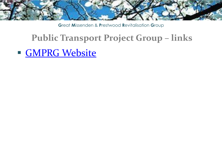

# **Public Transport Project Group - links**

**GMPRG Website**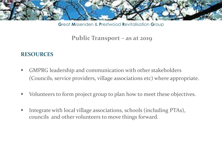

#### Public Transport - as at 2019

#### **RESOURCES**

- GMPRG leadership and communication with other stakeholders ٠ (Councils, service providers, village associations etc) where appropriate.
- Volunteers to form project group to plan how to meet these objectives. ш
- Integrate with local village associations, schools (including PTAs),  $\blacksquare$ councils and other volunteers to move things forward.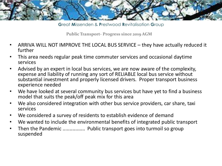

**G**reat **M**issenden & **P**restwood **R**evitalisation **G**roup

**Public Transport- Progress since 2019 AGM**

- ARRIVA WILL NOT IMPROVE THE LOCAL BUS SERVICE they have actually reduced it further
- This area needs regular peak time commuter services and occasional daytime services
- Advised by an expert in local bus services, we are now aware of the complexity, expense and liability of running any sort of RELIABLE local bus service without substantial investment and properly licensed drivers. Proper transport business experience needed
- We have looked at several community bus services but have yet to find a business model that suits the peak/off peak mix for this area
- We also considered integration with other bus service providers, car share, taxi services
- We considered a survey of residents to establish evidence of demand
- We wanted to include the environmental benefits of integrated public transport
- Then the Pandemic ................ Public transport goes into turmoil so group suspended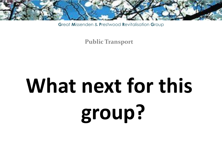

**Public Transport** 

# What next for this group?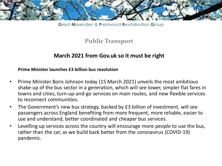

### **Public Transport**

#### **March 2021 from Gov.uk so it must be right**

#### **Prime Minister launches £3 billion bus revolution**

- Prime Minister Boris Johnson today (15 March 2021) unveils the most ambitious shake-up of the bus sector in a generation, which will see lower, simpler flat fares in towns and cities, turn-up-and-go services on main routes, and new flexible services to reconnect communities.
- The Government's new bus strategy, backed by £3 billion of investment, will see passengers across England benefiting from more frequent, more reliable, easier to use and understand, better coordinated and cheaper bus services.
- Levelling up services across the country will encourage more people to use the bus, rather than the car, as we build back better from the coronavirus (COVID-19) pandemic.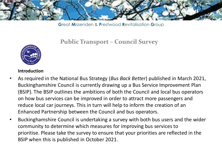

## **Public Transport – Council Survey**



#### **Introduction**

- As required in the National Bus Strategy (*Bus Back Better*) published in March 2021, Buckinghamshire Council is currently drawing up a Bus Service Improvement Plan (BSIP). The BSIP outlines the ambitions of both the Council and local bus operators on how bus services can be improved in order to attract more passengers and reduce local car journeys. This in turn will help to inform the creation of an Enhanced Partnership between the Council and bus operators.
- Buckinghamshire Council is undertaking a survey with both bus users and the wider community to determine which measures for improving bus services to prioritise. Please take the survey to ensure that your priorities are reflected in the BSIP when this is published in October 2021.